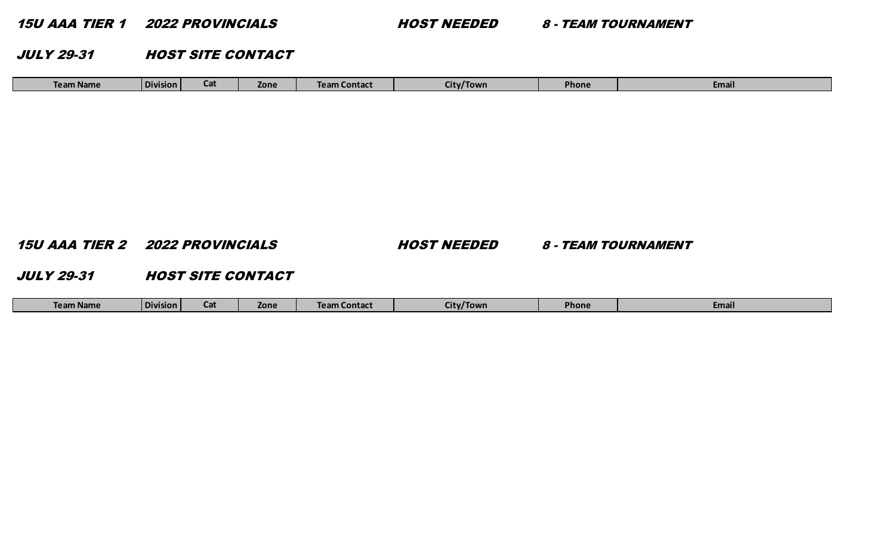15U AAA TIER 1 2022 PROVINCIALS HOST NEEDED 8 - TEAM TOURNAMENT

JULY 29-31 HOST SITE CONTACT

| Team Name | <b>Division</b> | $\sim$<br>--- | Zone | Team Contact | City/Town | Phone | Email |
|-----------|-----------------|---------------|------|--------------|-----------|-------|-------|
|-----------|-----------------|---------------|------|--------------|-----------|-------|-------|

15U AAA TIER 2 2022 PROVINCIALS HOST NEEDED 8 - TEAM TOURNAMENT

JULY 29-31 HOST SITE CONTACT

|  | Team Name | l Division | ---- | Zone | Team. | 'Town<br>IIIW | <b>Phone</b> | Email |
|--|-----------|------------|------|------|-------|---------------|--------------|-------|
|--|-----------|------------|------|------|-------|---------------|--------------|-------|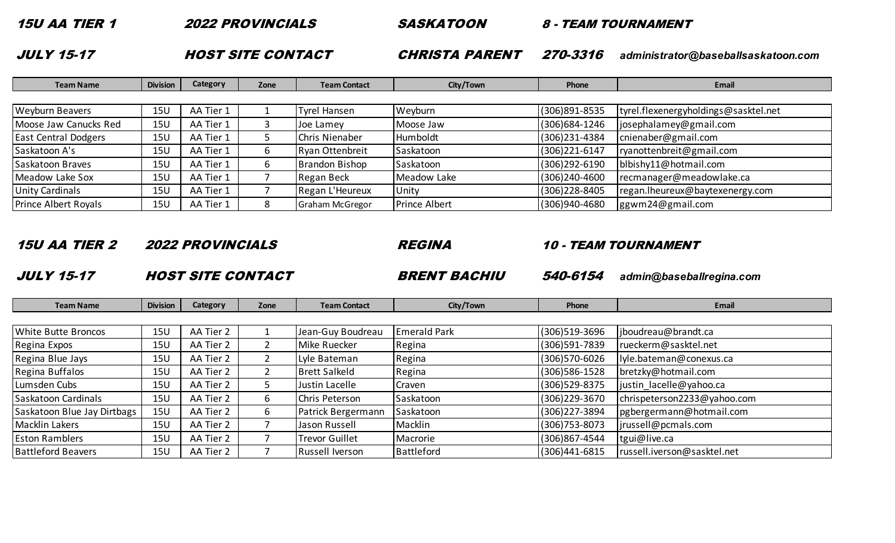15U AA TIER 1 2022 PROVINCIALS SASKATOON 8 - TEAM TOURNAMENT

HOST SITE CONTACT

JULY 15-17 CHRISTA PARENT 270-3316 *administrator@baseballsaskatoon.com*

| <b>Team Name</b>            | <b>Division</b> | Category  | Zone | <b>Team Contact</b> | City/Town            | Phone            | <b>Email</b>                         |
|-----------------------------|-----------------|-----------|------|---------------------|----------------------|------------------|--------------------------------------|
|                             |                 |           |      |                     |                      |                  |                                      |
| <b>Weyburn Beavers</b>      | 15U             | AA Tier 1 |      | Tyrel Hansen        | Weyburn              | (306) 891-8535   | tyrel.flexenergyholdings@sasktel.net |
| Moose Jaw Canucks Red       | <b>15U</b>      | AA Tier 1 |      | Joe Lamey           | Moose Jaw            | (306) 684-1246   | josephalamey@gmail.com               |
| <b>East Central Dodgers</b> | 15U             | AA Tier 1 |      | Chris Nienaber      | Humboldt             | (306) 231-4384   | cnienaber@gmail.com                  |
| Saskatoon A's               | 15L             | AA Tier 1 | b    | Ryan Ottenbreit     | Saskatoon            | (306) 221-6147   | ryanottenbreit@gmail.com             |
| Saskatoon Braves            | 15U             | AA Tier 1 |      | Brandon Bishop      | Saskatoon            | $(306)$ 292-6190 | blbishy11@hotmail.com                |
| Meadow Lake Sox             | 15U             | AA Tier 1 |      | Regan Beck          | Meadow Lake          | (306)240-4600    | recmanager@meadowlake.ca             |
| <b>Unity Cardinals</b>      | 15L             | AA Tier 1 |      | Regan L'Heureux     | Unity                | (306) 228-8405   | regan.lheureux@baytexenergy.com      |
| <b>Prince Albert Royals</b> | <b>15U</b>      | AA Tier 1 |      | Graham McGregor     | <b>Prince Albert</b> | (306)940-4680    | ggwm24@gmail.com                     |

15U AA TIER 2 2022 PROVINCIALS REGINA 10 - TEAM TOURNAMENT

JULY 15-17 HOST SITE CONTACT BRENT BACHIU 540-6154 *admin@baseballregina.com*

| <b>Team Name</b>            | <b>Division</b> | Category  | Zone | <b>Team Contact</b>   | City/Town           | Phone             | <b>Email</b>                |
|-----------------------------|-----------------|-----------|------|-----------------------|---------------------|-------------------|-----------------------------|
|                             |                 |           |      |                       |                     |                   |                             |
| <b>White Butte Broncos</b>  | 15U             | AA Tier 2 |      | Jean-Guy Boudreau     | <b>Emerald Park</b> | (306)519-3696     | jboudreau@brandt.ca         |
| Regina Expos                | 15U             | AA Tier 2 |      | Mike Ruecker          | Regina              | (306)591-7839     | rueckerm@sasktel.net        |
| Regina Blue Jays            | 15U             | AA Tier 2 |      | Lyle Bateman          | Regina              | (306) 570-6026    | lyle.bateman@conexus.ca     |
| Regina Buffalos             | 15U             | AA Tier 2 |      | <b>Brett Salkeld</b>  | Regina              | (306) 586-1528    | bretzky@hotmail.com         |
| Lumsden Cubs                | <b>15U</b>      | AA Tier 2 |      | Justin Lacelle        | Craven              | (306) 529-8375    | justin lacelle@yahoo.ca     |
| Saskatoon Cardinals         | 15U             | AA Tier 2 | b.   | Chris Peterson        | Saskatoon           | (306) 229-3670    | chrispeterson2233@yahoo.com |
| Saskatoon Blue Jay Dirtbags | <b>15U</b>      | AA Tier 2 | b.   | Patrick Bergermann    | Saskatoon           | (306) 227-3894    | pgbergermann@hotmail.com    |
| Macklin Lakers              | 15U             | AA Tier 2 |      | Jason Russell         | Macklin             | $(306)753 - 8073$ | jrussell@pcmals.com         |
| <b>Eston Ramblers</b>       | 15U             | AA Tier 2 |      | <b>Trevor Guillet</b> | Macrorie            | (306) 867-4544    | tgui@live.ca                |
| <b>Battleford Beavers</b>   | 15U             | AA Tier 2 |      | Russell Iverson       | Battleford          | (306)441-6815     | russell.iverson@sasktel.net |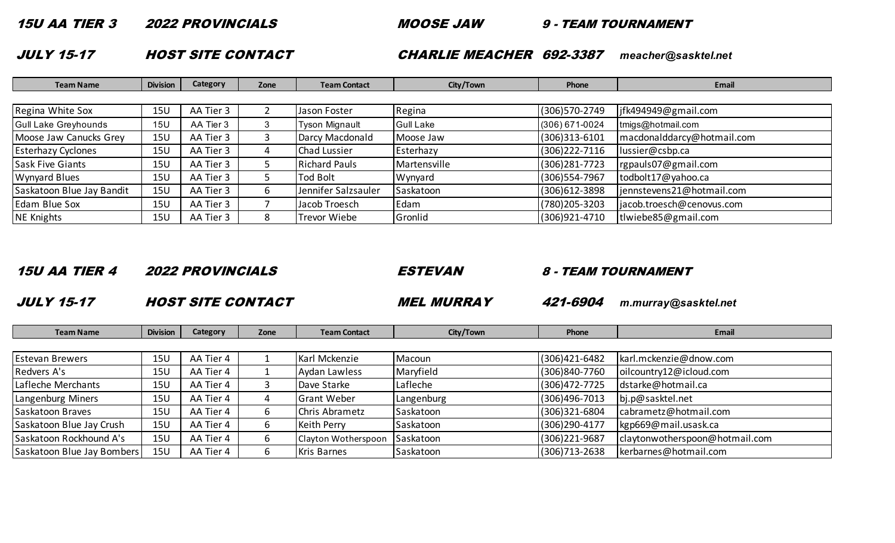15U AA TIER 3 2022 PROVINCIALS MOOSE JAW 9 - TEAM TOURNAMENT

JULY 15-17 HOST SITE CONTACT CHARLIE MEACHER 692-3387 *meacher@sasktel.net*

| <b>Team Name</b>            | <b>Division</b> | Category  | Zone | <b>Team Contact</b>   | City/Town        | Phone             | <b>Email</b>               |
|-----------------------------|-----------------|-----------|------|-----------------------|------------------|-------------------|----------------------------|
|                             |                 |           |      |                       |                  |                   |                            |
| Regina White Sox            | 15U             | AA Tier 3 |      | Jason Foster          | Regina           | (306) 570-2749    | jfk494949@gmail.com        |
| <b>Gull Lake Greyhounds</b> | 15 <sub>U</sub> | AA Tier 3 |      | <b>Tyson Mignault</b> | <b>Gull Lake</b> | (306) 671-0024    | tmigs@hotmail.com          |
| Moose Jaw Canucks Grey      | 15U             | AA Tier 3 |      | Darcy Macdonald       | Moose Jaw        | $(306)313 - 6101$ | macdonalddarcy@hotmail.com |
| <b>Esterhazy Cyclones</b>   | 15 <sub>U</sub> | AA Tier 3 | 4    | <b>Chad Lussier</b>   | Esterhazy        | (306) 222-7116    | lussier@csbp.ca            |
| <b>Sask Five Giants</b>     | 15 <sub>U</sub> | AA Tier 3 |      | <b>Richard Pauls</b>  | Martensville     | (306) 281-7723    | rgpauls07@gmail.com        |
| <b>Wynyard Blues</b>        | 15U             | AA Tier 3 |      | Tod Bolt              | Wynyard          | (306) 554-7967    | todbolt17@yahoo.ca         |
| Saskatoon Blue Jay Bandit   | <b>15U</b>      | AA Tier 3 | 6.   | Jennifer Salzsauler   | Saskatoon        | (306) 612-3898    | jennstevens21@hotmail.com  |
| Edam Blue Sox               | <b>15U</b>      | AA Tier 3 |      | Jacob Troesch         | Edam             | (780) 205-3203    | jacob.troesch@cenovus.com  |
| <b>NE Knights</b>           | 15U             | AA Tier 3 | 8    | Trevor Wiebe          | Gronlid          | (306) 921-4710    | tlwiebe85@gmail.com        |

| <i><b>15U AA TIER 4</b></i> |  | <b>2022 PROI</b> |  |
|-----------------------------|--|------------------|--|
|-----------------------------|--|------------------|--|

15U AA TIER 4 2022 PROVINCIALS ESTEVAN 8 - TEAM TOURNAMENT

JULY 15-17 HOST SITE CONTACT MEL MURRAY 421-6904 *m.murray@sasktel.net*

| <b>Team Name</b>           | <b>Division</b> | Category  | Zone | <b>Team Contact</b> | City/Town  | Phone             | <b>Email</b>                   |
|----------------------------|-----------------|-----------|------|---------------------|------------|-------------------|--------------------------------|
|                            |                 |           |      |                     |            |                   |                                |
| <b>Estevan Brewers</b>     | 15U             | AA Tier 4 |      | Karl Mckenzie       | Macoun     | (306) 421-6482    | karl.mckenzie@dnow.com         |
| Redvers A's                | 15 <sub>U</sub> | AA Tier 4 |      | Aydan Lawless       | Maryfield  | (306)840-7760     | oilcountry12@icloud.com        |
| Lafleche Merchants         | 15 <sub>U</sub> | AA Tier 4 |      | Dave Starke         | Lafleche   | (306) 472-7725    | dstarke@hotmail.ca             |
| Langenburg Miners          | 15 <sub>U</sub> | AA Tier 4 |      | <b>Grant Weber</b>  | Langenburg | $(306)496 - 7013$ | bj.p@sasktel.net               |
| Saskatoon Braves           | 15 <sub>U</sub> | AA Tier 4 |      | Chris Abrametz      | Saskatoon  | (306) 321-6804    | cabrametz@hotmail.com          |
| Saskatoon Blue Jay Crush   | <b>15U</b>      | AA Tier 4 | b    | <b>Keith Perry</b>  | Saskatoon  | (306) 290-4177    | kgp669@mail.usask.ca           |
| Saskatoon Rockhound A's    | 15U             | AA Tier 4 |      | Clayton Wotherspoon | Saskatoon  | (306) 221-9687    | claytonwotherspoon@hotmail.com |
| Saskatoon Blue Jay Bombers | <b>15U</b>      | AA Tier 4 |      | <b>Kris Barnes</b>  | Saskatoon  | $(306)713 - 2638$ | kerbarnes@hotmail.com          |